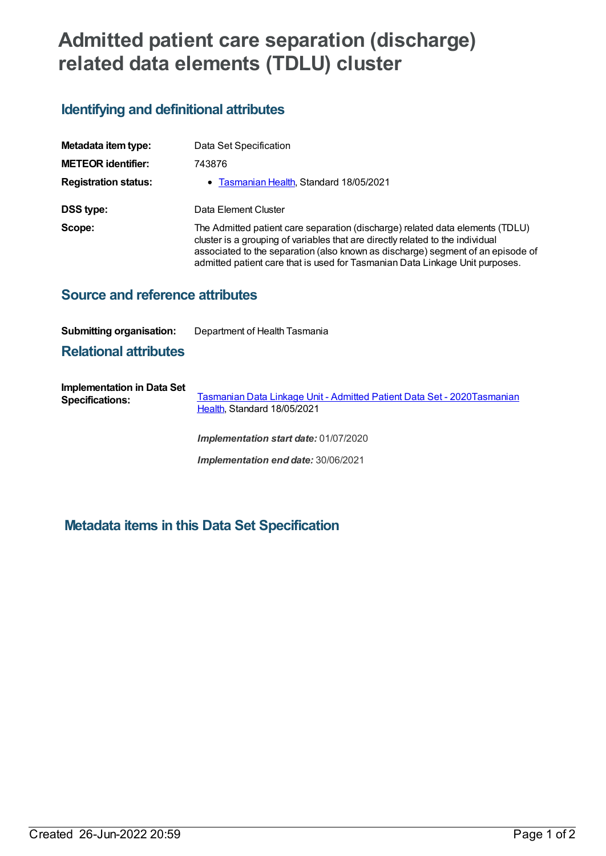# **Admitted patient care separation (discharge) related data elements (TDLU) cluster**

## **Identifying and definitional attributes**

| Metadata item type:         | Data Set Specification                                                                                                                                                                                                                                                                                                             |
|-----------------------------|------------------------------------------------------------------------------------------------------------------------------------------------------------------------------------------------------------------------------------------------------------------------------------------------------------------------------------|
| <b>METEOR identifier:</b>   | 743876                                                                                                                                                                                                                                                                                                                             |
| <b>Registration status:</b> | • Tasmanian Health, Standard 18/05/2021                                                                                                                                                                                                                                                                                            |
| DSS type:                   | Data Element Cluster                                                                                                                                                                                                                                                                                                               |
| Scope:                      | The Admitted patient care separation (discharge) related data elements (TDLU)<br>cluster is a grouping of variables that are directly related to the individual<br>associated to the separation (also known as discharge) segment of an episode of<br>admitted patient care that is used for Tasmanian Data Linkage Unit purposes. |

### **Source and reference attributes**

#### **Submitting organisation:** Department of Health Tasmania

#### **Relational attributes**

**Implementation in Data Set Specifications:** [Tasmanian](https://meteor.aihw.gov.au/content/739827) Data Linkage Unit - Admitted Patient Data Set - [2020Tasmanian](https://meteor.aihw.gov.au/RegistrationAuthority/15) Health, Standard 18/05/2021

*Implementation start date:* 01/07/2020

*Implementation end date:* 30/06/2021

## **Metadata items in this Data Set Specification**